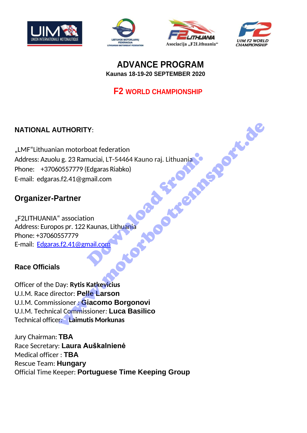







## **ADVANCE PROGRAM Kaunas 18-19-20 SEPTEMBER 2020**

# **F2 WORLD CHAMPIONSHIP**

# **NATIONAL AUTHORITY**:

"LMF"Lithuanian motorboat federation Address: Azuolu g. 23 Ramuciai, LT-54464 Kauno raj. Lithuania Phone: +37060557779 (Edgaras Riabko) E-mail: edgaras.f2.41@gmail.com nuciai, LT-54464 Kauno raj. Lithuania<br>Edgaras Riabko)<br>mail.com<br>on<br>Kaunas, Lithuania UTHORITY:<br>
an motorboot federation<br>
1g. 23 Ramuciai, LT-54464 Kauno raj. Lithuania<br>
s.f.2.41@gmail.com<br>
arther<br>
"association<br>
arther<br>
"association<br>
sp pr. 122 Kaunas, Lithuania<br>
"association<br>
sp pr. 122 Kaunas, Lithuania<br>

# **Organizer-Partner**

"F2LITHUANIA" association Address: Europos pr. 122 Kaunas, Lithuania Phone: +37060557779 E-mail: [Edgaras.f2.41@gmail.com](mailto:Edgaras.f2.41@gmail.com)

#### **Race Officials**

Officer of the Day: **Rytis Katkevicius** U.I.M. Race director: **Pelle Larson** U.I.M. Commissioner : **Giacomo Borgonovi** U.I.M. Technical Commissioner*:* **Luca Basilico** Technical officer*:* **Laimutis Morkunas**

Jury Chairman: **TBA** Race Secretary: **Laura Auškalnienė** Medical officer : **TBA** Rescue Team: **Hungary** Official Time Keeper: **Portuguese Time Keeping Group**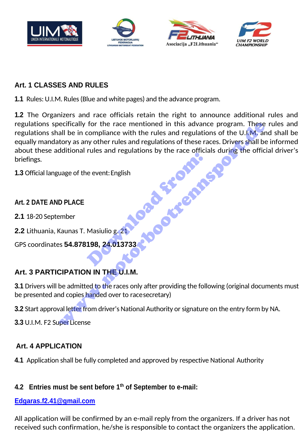







#### **Art. 1 CLASSES AND RULES**

**1.1** Rules: U.I.M. Rules(Blue and white pages) and the advance program.

**1.2** The Organizers and race officials retain the right to announce additional rules and regulations specifically for the race mentioned in this advance program. These rules and regulations shall be in compliance with the rules and regulations of the U.I.M. and shall be equally mandatory as any other rules and regulations of these races. Drivers shall be informed about these additional rules and regulations by the race officials during the official driver's briefings. Download from: ecifically for the race mentioned in this advance program. These<br>all be in compliance with the rules and regulations of the U.I.M. and<br>tory as any other rules and regulations by the race s. Drivers shall be<br>dditional rules

**1.3** Official language of the event:English

#### **Art. 2 DATE AND PLACE**

- **2.1** 18-20 September
- **2.2** Lithuania, Kaunas T. Masiulio g. 21

GPS coordinates **54.878198, 24.013733**

## **Art. 3 PARTICIPATION IN THE U.I.M.**

**3.1** Drivers will be admitted to the races only after providing the following (original documents must be presented and copies handed over to race secretary)

**3.2** Start approval letter from driver's National Authority or signature on the entry form by NA.

**3.3** U.I.M. F2 Super License

#### **Art. 4 APPLICATION**

**4.1** Application shall be fully completed and approved by respective National Authority

#### **4.2 Entries must be sent before 1 th of September to e-mail:**

#### **[Edgaras.f2.41@gmail.com](mailto:Edgaras.f2.41@gmail.com)**

All application will be confirmed by an e-mail reply from the organizers. If a driver has not received such confirmation, he/she is responsible to contact the organizers the application.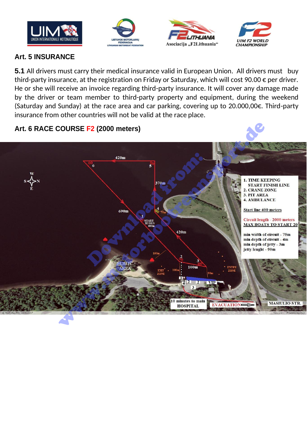







#### **Art. 5 INSURANCE**

**5.1** All drivers must carry their medical insurance valid in European Union. All drivers must buy third-party insurance, at the registration on Friday or Saturday, which will cost 90.00 € per driver. He or she will receive an invoice regarding third-party insurance. It will cover any damage made by the driver or team member to third-party property and equipment, during the weekend (Saturday and Sunday) at the race area and car parking, covering up to 20.000,00€. Third-party insurance from other countries will not be valid at the race place.

#### **Art. 6 RACE COURSE F2 (2000 meters)**

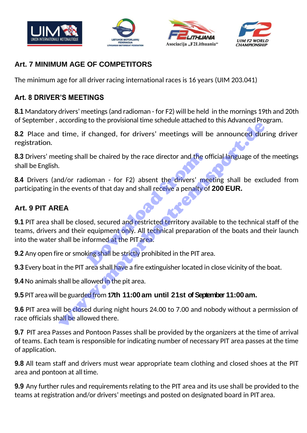







# **Art. 7 MINIMUM AGE OF COMPETITORS**

The minimum age for all driver racing international races is 16 years (UIM 203.041)

#### **Art. 8 DRIVER'S MEETINGS**

**8.1** Mandatory drivers'meetings(and radioman - for F2) will be held in the mornings 19th and 20th of September, according to the provisional time schedule attached to this Advanced Program.

**8.2** Place and time, if changed, for drivers' meetings will be announced during driver registration.

**8.3** Drivers' meeting shall be chaired by the race director and the official language of the meetings shall be English.

**8.4** Drivers (and/or radioman - for F2) absent the drivers' meeting shall be excluded from participating in the events of that day and shall receive a penalty of **200 EUR.**

#### **Art. 9 PIT AREA**

**9.1** PIT area shall be closed, secured and restricted territory available to the technical staff of the teams, drivers and their equipment only. All technical preparation of the boats and their launch into the water shall be informed at the PIT area. I be chaired by the race director and the order of that day and shall receive a penalty of that day and shall receive a penalty of that day and shall receive a penalty of that day and shall receive a penalty of the equipme Letterians, to the problems and the private dialected control and the simulation of the simulation of the simulation of the simulation of the simulation of the events of that day and shall receive a penalty of 200 EUR.<br>
EA

**9.2** Any open fire or smoking shall be strictly prohibited in the PIT area.

**9.3** Every boat in the PIT area shall have a fire extinguisher located in close vicinity of the boat.

**9.4** No animals shall be allowed in the pit area.

#### **9.5** PIT areawill be guarded from**17th 11:00am until 21st of September 11:00am.**

**9.6** PIT area will be closed during night hours 24.00 to 7.00 and nobody without a permission of race officials shall be allowed there.

**9.7** PIT area Passes and Pontoon Passes shall be provided by the organizers at the time of arrival of teams. Each team is responsible for indicating number of necessary PIT area passes at the time of application.

**9.8** All team staff and drivers must wear appropriate team clothing and closed shoes at the PIT area and pontoon at all time.

**9.9** Any further rules and requirements relating to the PIT area and its use shall be provided to the teams at registration and/or drivers' meetings and posted on designated board in PIT area.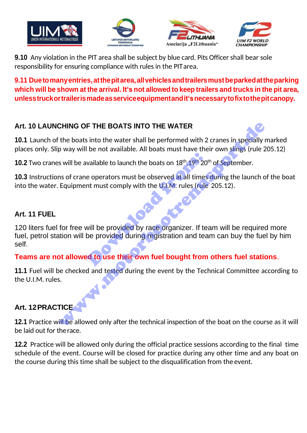







**9.10** Any violation in the PIT area shall be subject by blue card. Pits Officer shall bear sole responsibility for ensuring compliance with rules in the PITarea.

### **9.11 Duetomanyentries,atthepitarea,allvehiclesandtrailersmustbeparkedattheparking**  which will be shown at the arrival. It's not allowed to keep trailers and trucks in the pit area, **unlesstruckortrailerismadeasserviceequipmentandit'snecessarytofixtothepitcanopy.**

# **Art. 10 LAUNCHING OF THE BOATS INTO THE WATER**

**10.1** Launch of the boats into the water shall be performed with 2 cranes in specially marked places only. Slip way will be not available. All boats must have their own slings (rule 205.12)

**10.2** Two cranes will be available to launch the boats on 18<sup>th</sup>, 19<sup>th</sup> 20<sup>th</sup> of September.

**10.3** Instructions of crane operators must be observed at all times during the launch of the boat into the water. Equipment must comply with the  $U.L.M.$  rules (rule 205.12).

#### **Art. 11 FUEL**

120 liters fuel for free will be provided by race organizer. If team will be required more fuel, petrol station will be provided during registration and team can buy the fuel by him self. vailable to launch the boats on 18<sup>th</sup>, 19<sup>th</sup> 20<sup>t</sup><br>e operators must be observed at all times<br>nt must comply with the U.I.M. rules (rule<br>will be provided by race organizer. If te<br>be provided during registration and tea<br>of CHING OF THE BOATS INTO THE WATER<br>
the boats into the water shall be performed with 2 cranes in specially<br>
p way will be not available. All boats must have their own slings (rule 2<br>
s will be available to launch the boats

## **Teams are not allowed to use their own fuel bought from others fuel stations**.

**11.1** Fuel will be checked and tested during the event by the Technical Committee according to the U.I.M. rules.

## **Art. 12PRACTICE**

**12.1** Practice will be allowed only after the technical inspection of the boat on the course as it will be laid out for therace.

**12.2** Practice will be allowed only during the official practice sessions according to the final time schedule of the event. Course will be closed for practice during any other time and any boat on the course during this time shall be subject to the disqualification from the event.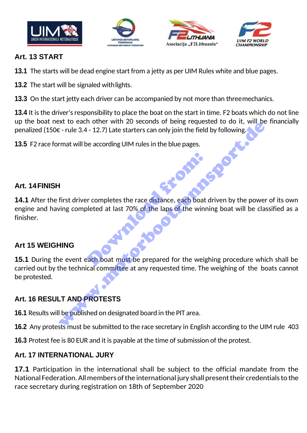





Download from:



#### **Art. 13 START**

- **13.1** The starts will be dead engine start from a jetty as per UIM Rules white and blue pages.
- **13.2** The start will be signaled withlights.

**13.3** On the start jetty each driver can be accompanied by not more than threemechanics.

**13.4** It is the driver's responsibility to place the boat on the start in time. F2 boats which do not line up the boat next to each other with 20 seconds of being requested to do it, will be financially penalized (150 $\epsilon$  - rule 3.4 - 12.7) Late starters can only join the field by following.

**13.5** F2 race format will be according UIM rules in the blue pages.

#### **Art. 14FINISH**

**14.1** After the first driver completes the race distance, each boat driven by the power of its own engine and having completed at last 70% of the laps of the winning boat will be classified as a finisher.

#### **Art 15 WEIGHING**

15.1 During the event each boat must be prepared for the weighing procedure which shall be carried out by the technical committee at any requested time. The weighing of the boats cannot be protested. We can be accordined with 20 seconds of being released to do it, which can be contributed to the seconds of being reflected to do it, where  $\epsilon$ -rule 3.4 - 12.7) Late starters can only join the field by following the secon

## **Art. 16 RESULT AND PROTESTS**

**16.1** Results will be published on designated board in the PIT area.

**16.2** Any protests must be submitted to the race secretary in English according to the UIM rule 403

**16.3** Protest fee is 80 EUR and it is payable at the time of submission of the protest.

#### **Art. 17 INTERNATIONAL JURY**

**17.1** Participation in the international shall be subject to the official mandate from the National Federation. All members of the international jury shall present their credentials to the race secretary during registration on 18th of September 2020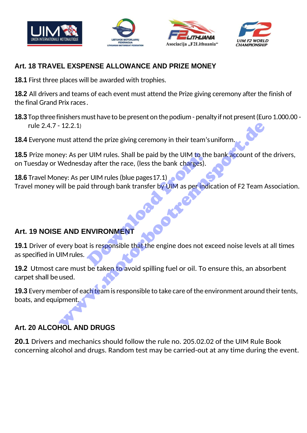







### **Art. 18 TRAVEL EXSPENSE ALLOWANCE AND PRIZE MONEY**

**18.1** First three places will be awarded with trophies.

**18.2** All drivers and teams of each event must attend the Prize giving ceremony after the finish of the final Grand Prix races.

**18.3** Top three finishers must have to be present on the podium - penalty if not present (Euro 1.000.00 rule 2.4.7 - 12.2.1)

**18.4** Everyone must attend the prize giving ceremony in their team'suniform.

**18.5** Prize money: As per UIM rules. Shall be paid by the UIM to the bank account of the drivers, on Tuesday or Wednesday after the race, (less the bank charges).

**18.6** Travel Money: As per UIM rules (blue pages17.1) Travel money will be paid through bank transfer by UIM as per indication of F2 Team Association. TRANSIDE TO MITH THE WATER THE VISTOR OF SAMPLET THE REPORT OF SAMPLET THE REPORT OF SAMPLET THE REPORT OF SAMPLET THE REPORT OF SAMPLET THE REPORT OF SAMPLET THE REPORT OF SAMPLET THE REPORT OF SAMPLET THE REPORT OF SAMPL The state of the prize giving ceremony in their team's uniform<br>the state of the prize giving ceremony in their team's uniform<br>ey: As per UIM rules. Shall be paid by the UIM to the bank account of the<br>wednesday after the ra

## **Art. 19 NOISE AND ENVIRONMENT**

**19.1** Driver of every boat is responsible that the engine does not exceed noise levels at all times as specified in UIMrules.

**19.2** Utmost care must be taken to avoid spilling fuel or oil. To ensure this, an absorbent carpet shall be used.

**19.3** Every member of each team is responsible to take care of the environment around their tents, boats, and equipment.

# **Art. 20 ALCOHOL AND DRUGS**

**20.1** Drivers and mechanics should follow the rule no. 205.02.02 of the UIM Rule Book concerning alcohol and drugs. Random test may be carried-out at any time during the event.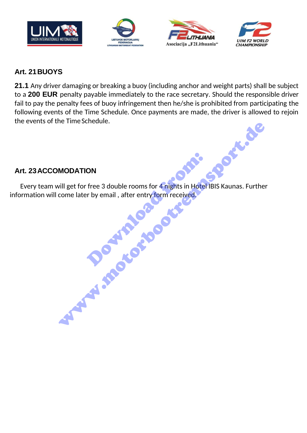







#### **Art. 21BUOYS**

**21.1** Any driver damaging or breaking a buoy (including anchor and weight parts) shall be subject to a **200 EUR** penalty payable immediately to the race secretary. Should the responsible driver fail to pay the penalty fees of buoy infringement then he/she is prohibited from participating the following events of the Time Schedule. Once payments are made, the driver is allowed to rejoin the events of the Time Schedule.

#### **Art. 23ACCOMODATION**

Every team will get for free 3 double rooms for 4 nights in Hotel IBIS Kaunas. Further information will come later by email, after entry form received. ON<br>
free 3 double rooms for 4 nights in Hotel<br>
r by email , after entry form received. MODATION<br>
Vill get for free 3 double rooms for 4 nights in Hotel IBIS Kaunas. Furthe<br>
Come later by email, after entry form received.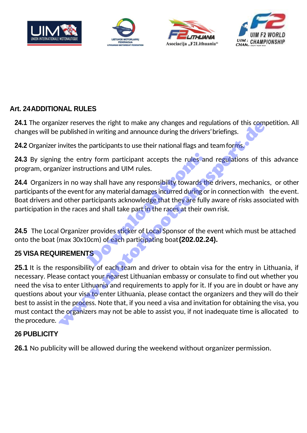







### **Art. 24ADDITIONAL RULES**

**24.1** The organizer reserves the right to make any changes and regulations of this competition. All changes will be published in writing and announce during the drivers'briefings.

**24.2** Organizer invites the participants to use their national flags and teamforms.

**24.3** By signing the entry form participant accepts the rules and regulations of this advance program, organizer instructions and UIM rules.

**24.4** Organizers in no way shall have any responsibility towards the drivers, mechanics, or other participants of the event for any material damages incurred during or in connection with the event. Boat drivers and other participants acknowledge that they are fully aware of risks associated with participation in the races and shall take part in the races at their own risk. ry form participant accepts the rules and<br>uctions and UIM rules.<br>ay shall have any responsibility towards the for any material damages incurred during or<br>articipants acknowledge that they are fully<br>is and shall take part i

**24.5** The Local Organizer provides sticker of Local Sponsor of the event which must be attached onto the boat (max 30x10cm) of each participating boat**(202.02.24).**

## **25 VISA REQUIREMENTS**

25.1 It is the responsibility of each team and driver to obtain visa for the entry in Lithuania, if necessary. Please contact your nearest Lithuanian embassy or consulate to find out whether you need the visa to enter Lithuania and requirements to apply for it. If you are in doubt or have any questions about your visa to enter Lithuania, please contact the organizers and they will do their best to assist in the process. Note that, if you need a visa and invitation for obtaining the visa, you must contact the organizers may not be able to assist you, if not inadequate time is allocated to the procedure. Izer reserves the right to make any changes and regulations of this compublished in writing and announce during the drivers' briefings.<br>
invites the participants to use their national flags and team forms,<br>
g the entry for

#### **26 PUBLICITY**

**26.1** No publicity will be allowed during the weekend without organizer permission.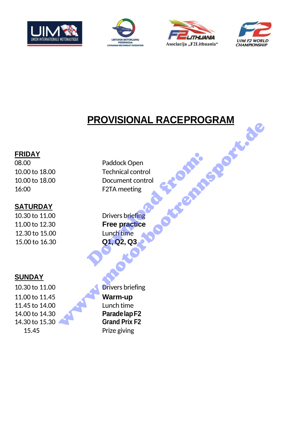







# **PROVISIONAL RACEPROGRAM**

#### **FRIDAY**

#### **SATURDAY**

12.30 to 15.00 Lunch time 15.00 to 16.30 **Q1, Q2, Q3**

## **SUNDAY**

11.00 to 11.45 **Warm-up** 11.45 to 14.00 Lunch time 14.00 to 14.30 **ParadelapF2** 14.30 to 15.30 **Grand Prix F2** 15.45 Prize giving

08.00 **Paddock Open** 10.00 to 18.00 Technical control 10.00 to 18.00 Document control 16:00 F2TA meeting Paddock Open<br>Technical control<br>Document control<br>F2TA meeting<br>Drivers briefing<br>Free practice<br>Lunch time<br>Q1, Q2, Q3

10.30 to 11.00 Drivers briefing 11.00 to 12.30 **Free practice** 

10.30 to 11.00 **Drivers briefing** Paddock Open<br>
Technical control<br>
Document control<br>
F2TA meeting<br>
Free practice<br>
Lunch time<br>
Q1, Q2, Q3<br>
Document control<br>
Decree practice<br>
Lunch time<br>
Paradelap F2<br>
Grand Prix F2<br>
Grand Prix F2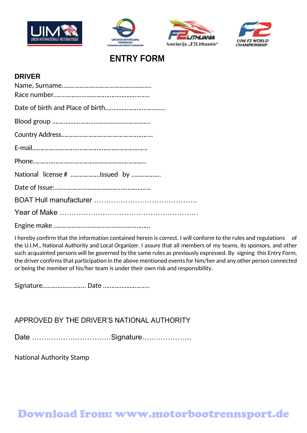







# **ENTRY FORM**

#### **DRIVER**

| National license # Issued by |
|------------------------------|
|                              |
|                              |
|                              |
|                              |

I hereby confirm that the information contained herein is correct. I will conform to the rules and regulations of the U.I.M., National Authority and Local Organizer. I assure that all members of my teams, its sponsors, and other such acquainted persons will be governed by the same rules as previously expressed. By signing this Entry Form, the driver confirms that participation in the above mentioned events for him/her and any other person connected or being the member of his/her team is under their own risk and responsibility.

Signature….…………………. Date ……………………….

APPROVED BY THE DRIVER'S NATIONAL AUTHORITY

National Authority Stamp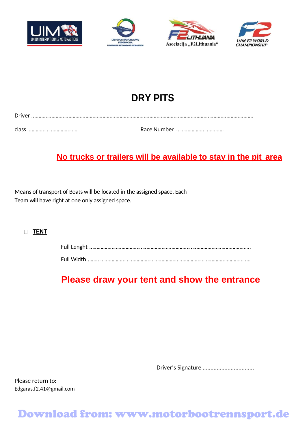







# **DRY PITS**

| Driver |  |
|--------|--|
|        |  |
| class  |  |

# **No trucks or trailers will be available to stay in the pit area**

Means of transport of Boats will be located in the assigned space. Each Team will have right at one only assigned space.

#### **TENT**

# **Please draw your tent and show the entrance**

Driver's Signature .................................

Please return to: [Edgaras.f2.41@gmail.com](mailto:Edgaras.f2.41@gmail.com)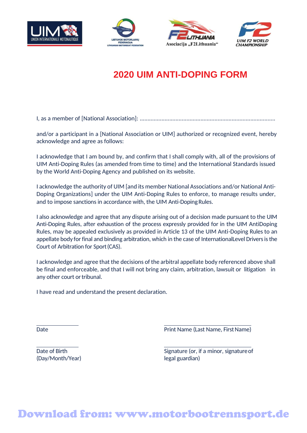







# **2020 UIM ANTI-DOPING FORM**

I, as a member of [National Association]: .......................................................................................

and/or a participant in a [National Association or UIM] authorized or recognized event, hereby acknowledge and agree as follows:

I acknowledge that I am bound by, and confirm that I shall comply with, all of the provisions of UIM Anti-Doping Rules (as amended from time to time) and the International Standards issued by the World Anti-Doping Agency and published on its website.

I acknowledge the authority of UIM [and its member National Associations and/or National Anti-Doping Organizations] under the UIM Anti-Doping Rules to enforce, to manage results under, and to impose sanctions in accordance with, the UIM Anti-Doping Rules.

I also acknowledge and agree that any dispute arising out of a decision made pursuant to the UIM Anti-Doping Rules, after exhaustion of the process expressly provided for in the UIM AntiDoping Rules, may be appealed exclusively as provided in Article 13 of the UIM Anti-Doping Rules to an appellate body for final and binding arbitration, which in the case of InternationalLevel Drivers is the Court of Arbitration for Sport(CAS).

I acknowledge and agree that the decisions of the arbitral appellate body referenced above shall be final and enforceable, and that I will not bring any claim, arbitration, lawsuit or litigation in any other court or tribunal.

I have read and understand the present declaration.

Date **Date** Print Name (Last Name, First Name)

(Day/Month/Year) legal guardian)

Date of Birth Signature (or, if a minor, signature of